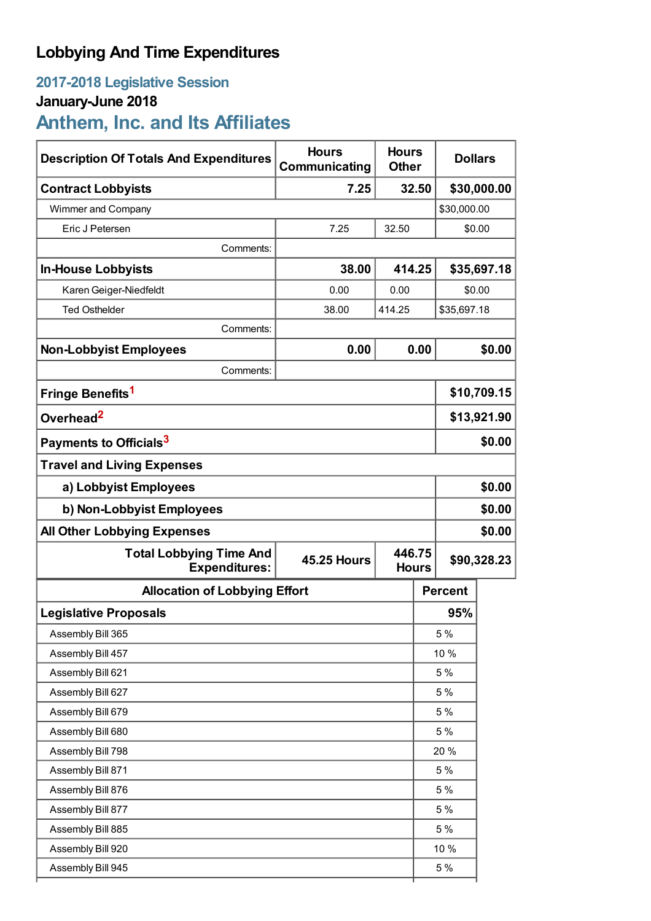# **Lobbying And Time Expenditures**

# **2017-2018 Legislative Session**

## **January-June 2018**

**Anthem, Inc. and Its Affiliates**

| <b>Description Of Totals And Expenditures</b>          | <b>Hours</b><br>Communicating                | <b>Hours</b><br><b>Other</b> |             | <b>Dollars</b> |             |
|--------------------------------------------------------|----------------------------------------------|------------------------------|-------------|----------------|-------------|
| <b>Contract Lobbyists</b>                              | 32.50<br>7.25                                |                              |             | \$30,000.00    |             |
| Wimmer and Company                                     |                                              |                              |             | \$30,000.00    |             |
| Eric J Petersen                                        | 7.25                                         | 32.50                        |             | \$0.00         |             |
| Comments:                                              |                                              |                              |             |                |             |
| <b>In-House Lobbyists</b>                              | 38.00                                        |                              | 414.25      |                | \$35,697.18 |
| Karen Geiger-Niedfeldt                                 | 0.00                                         | 0.00                         |             | \$0.00         |             |
| <b>Ted Osthelder</b>                                   | 38.00                                        | 414.25                       | \$35,697.18 |                |             |
| Comments:                                              |                                              |                              |             |                |             |
| <b>Non-Lobbyist Employees</b>                          | 0.00                                         | 0.00                         |             |                | \$0.00      |
| Comments:                                              |                                              |                              |             |                |             |
| Fringe Benefits <sup>1</sup>                           |                                              |                              |             | \$10,709.15    |             |
| Overhead <sup>2</sup>                                  |                                              |                              |             | \$13,921.90    |             |
| Payments to Officials <sup>3</sup>                     |                                              |                              |             | \$0.00         |             |
| <b>Travel and Living Expenses</b>                      |                                              |                              |             |                |             |
| a) Lobbyist Employees                                  |                                              |                              |             | \$0.00         |             |
| b) Non-Lobbyist Employees                              |                                              |                              |             | \$0.00         |             |
| <b>All Other Lobbying Expenses</b>                     |                                              |                              |             |                | \$0.00      |
| <b>Total Lobbying Time And</b><br><b>Expenditures:</b> | 446.75<br><b>45.25 Hours</b><br><b>Hours</b> |                              |             | \$90,328.23    |             |
| <b>Allocation of Lobbying Effort</b>                   |                                              |                              |             | <b>Percent</b> |             |
| <b>Legislative Proposals</b>                           |                                              |                              |             | 95%            |             |
| Assembly Bill 365                                      |                                              |                              |             | 5 %            |             |
| Assembly Bill 457                                      |                                              |                              |             | 10 %           |             |
| Assembly Bill 621                                      |                                              |                              | 5 %         |                |             |
| Assembly Bill 627                                      |                                              |                              |             | 5 %            |             |
| Assembly Bill 679                                      |                                              |                              |             | 5 %            |             |
| Assembly Bill 680                                      |                                              |                              |             | 5 %            |             |
| Assembly Bill 798                                      |                                              |                              |             | 20 %           |             |
| Assembly Bill 871                                      |                                              |                              |             | 5 %            |             |
| Assembly Bill 876                                      |                                              |                              |             | 5 %            |             |
| Assembly Bill 877                                      |                                              |                              |             | 5 %            |             |
| Assembly Bill 885                                      |                                              |                              |             | 5 %            |             |
| Assembly Bill 920                                      |                                              |                              |             | 10 %           |             |
| Assembly Bill 945                                      |                                              |                              |             | 5 %            |             |